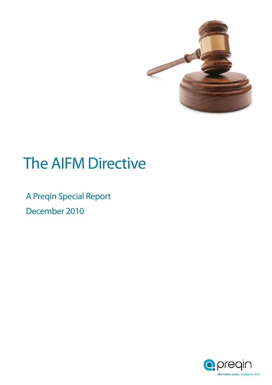

# The AIFM Directive

December 2010 A Preqin Special Report

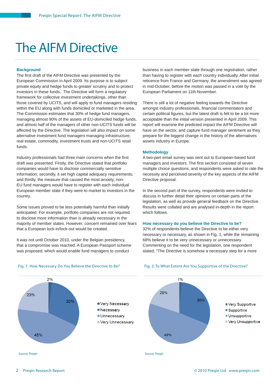### The AIFM Directive

#### **Background**

The first draft of the AIFM Directive was presented by the European Commission in April 2009. Its purpose is to subject private equity and hedge funds to greater scrutiny and to protect investors in these funds. The Directive will form a regulatory framework for collective investment undertakings, other than those covered by UCITS, and will apply to fund managers residing within the EU along with funds domiciled or marketed in the area. The Commission estimates that 30% of hedge fund managers, managing almost 90% of the assets of EU-domiciled hedge funds, and almost half of the managers of other non-UCITS funds will be affected by the Directive. The legislation will also impact on some alternative investment fund managers managing infrastructure, real estate, commodity, investment trusts and non-UCITS retail funds.

Industry professionals had three main concerns when the first draft was presented. Firstly, the Directive stated that portfolio companies would have to disclose commercially sensitive information; secondly, it set high capital adequacy requirements; and thirdly, the measure that caused the most anxiety, non-EU fund managers would have to register with each individual European member state if they were to market to investors in the country.

Some issues proved to be less potentially harmful than initially anticipated. For example, portfolio companies are not required to disclose more information than is already necessary in the majority of member states. However, concern remained over fears that a European lock-in/lock-out would be created.

It was not until October 2010, under the Belgian presidency, that a compromise was reached. A European Passport scheme was proposed, which would enable fund managers to conduct

business in each member state through one registration, rather than having to register with each country individually. After initial reticence from France and Germany, the amendment was agreed in mid-October, before the motion was passed in a vote by the European Parliament on 11th November.

There is still a lot of negative feeling towards the Directive amongst industry professionals, financial commentators and certain political figures, but the latest draft is felt to be a lot more acceptable than the initial version presented in April 2009. This report will examine the predicted impact the AIFM Directive will have on the sector, and capture fund manager sentiment as they prepare for the biggest change in the history of the alternatives assets industry in Europe.

#### **Methodology**

A two-part email survey was sent out to European-based fund managers and investors. The first section consisted of seven multiple choice questions, and respondents were asked to rate the necessity and perceived severity of the key aspects of the AIFM Directive proposal.

In the second part of the survey, respondents were invited to discuss in further detail their opinions on certain parts of the legislation, as well as provide general feedback on the Directive. Results were collated and are analysed in-depth in the report which follows.

#### **How necessary do you believe the Directive to be?**

32% of respondents believe the Directive to be either very necessary or necessary, as shown in Fig. 1, while the remaining 68% believe it to be very unnecessary or unnecessary. Commenting on the need for the legislation, one respondent stated, "The Directive is somehow a necessary step for a more

Fig. 2: To What Extent Are You Supportive of the Directive?



#### Fig. 1: How Necessary Do You Believe the Directive to Be?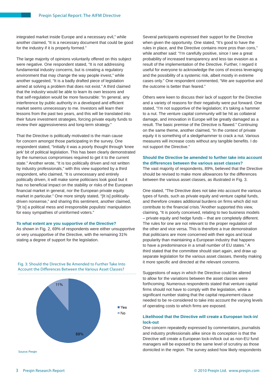integrated market inside Europe and a necessary evil," while another claimed, "It is a necessary document that could be good for the industry if it is properly formed."

The large majority of opinions voluntarily offered on this subject were negative. One respondent stated, "It is not addressing fundamental industry concerns, but is creating a regulatory environment that may change the way people invest," while another suggested, "It is a badly drafted piece of legislation aimed at solving a problem that does not exist." A third claimed that the industry would be able to learn its own lessons and that self-regulation would be more favourable: "In general, any interference by public authority in a developed and efficient market seems unnecessary to me. Investors will learn their lessons from the past two years, and this will be translated into their future investment strategies, forcing private equity funds to review their aggressiveness and long-term strategy."

That the Directive is politically motivated is the main cause for concern amongst those participating in the survey. One respondent stated, "Initially it was a poorly thought through 'knee jerk' bit of political legislation. This has been clearly demonstrated by the numerous compromises required to get it to the current state." Another wrote, "It is too politically driven and not written by industry professionals," with this view supported by a third respondent, who claimed, "It is unnecessary and entirely politically driven, it will make some politicians look good but it has no beneficial impact on the stability or risks of the European financial market in general, nor the European private equity market in particular." One more simply stated, "[It is] politicallydriven nonsense," and sharing this sentiment, another claimed, "[It is] a political mess and irresponsible populists' manipulation for easy sympathies of uninformed voters."

#### **To what extent are you supportive of the Directive?**

As shown in Fig. 2, 69% of respondents were either unsupportive or very unsupportive of the Directive, with the remaining 31% stating a degree of support for the legislation.

Fig. 3: Should the Directive Be Amended to Further Take Into Account the Differences Between the Various Asset Classes?



Source: Pregin

Several participants expressed their support for the Directive when given the opportunity. One stated, "It's good to have the rules in place, and the Directive contains more pros than cons," while another said: "I'm carefully positive, since I see a great probability of increased transparency and less tax evasion as a result of the implementation of the Directive. Further, I regard it useful for everyone to acknowledge the cons of excess leveraging and the possibility of a systemic risk, albeit mostly in extreme cases only." One respondent commented, "We are supportive and the outcome is better than feared."

Others were keen to discuss their lack of support for the Directive and a variety of reasons for their negativity were put forward. One stated, "I'm not supportive of the legislation; it's taking a hammer to a nut. The venture capital community will be hit as collateral damage, and innovation in Europe will be greatly damaged as a result. The basic premise of the Directive is flawed." Continuing on the same theme, another claimed, "In the context of private equity it is something of a sledgehammer to crack a nut. Various measures will increase costs without any tangible benefits. I do not support the Directive."

#### **Should the Directive be amended to further take into account the differences between the various asset classes?**

The vast majority of respondents, 89%, believed that the Directive should be revised to make more allowances for the differences between the various asset classes, as illustrated in Fig. 3.

One stated, "The Directive does not take into account the various types of funds, such as private equity and venture capital funds, and therefore creates additional burdens on firms which did not contribute to the financial crisis."Another supported this view, claiming, "It is poorly conceived, relating to two business models – private equity and hedge funds – that are completely different. The rules for one are not relevant to the proper regulation of the other and vice versa. This is therefore a true demonstration that politicians are more concerned with their egos and local popularity than maintaining a European industry that happens to have a predominance in a small number of EU states." A third stated that the committee should start again, and draw up separate legislation for the various asset classes, thereby making it more specific and directed at the relevant concerns.

Suggestions of ways in which the Directive could be altered to allow for the variations between the asset classes were forthcoming. Numerous respondents stated that venture capital firms should not have to comply with the legislation, while a significant number stating that the capital requirement clause needed to be re-considered to take into account the varying levels of operating costs to which firms are exposed.

#### **Likelihood that the Directive will create a European lock-in/ lock-out**

One concern repeatedly expressed by commentators, journalists and industry professionals alike since its conception is that the Directive will create a European lock-in/lock out as non-EU fund managers will be exposed to the same level of scrutiny as those domiciled in the region. The survey asked how likely respondents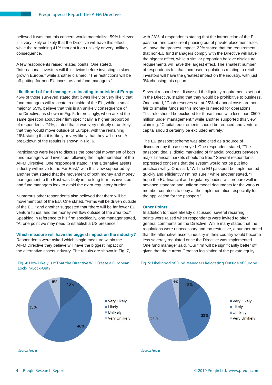believed it was that this concern would materialize. 59% believed it is very likely or likely that the Directive will have this effect, while the remaining 41% thought it an unlikely or very unlikely consequence.

A few respondents raised related points. One stated, "International investors will think twice before investing in slowgrowth Europe," while another claimed, "The restrictions will be off-putting for non-EU investors and fund managers."

#### **Likelihood of fund managers relocating to outside of Europe**

45% of those surveyed stated that it was likely or very likely that fund managers will relocate to outside of the EU, while a small majority, 55%, believe that this is an unlikely consequence of the Directive, as shown in Fig. 5. Interestingly, when asked the same question about their firm specifically, a higher proportion of respondents, 74%, stated that it was very unlikely or unlikely that they would move outside of Europe, with the remaining 26% stating that it is likely or very likely that they will do so. A breakdown of the results is shown in Fig. 6.

Participants were keen to discuss the potential movement of both fund managers and investors following the implementation of the AIFM Directive. One respondent stated, "The alternative assets industry will move to the Far East," with this view supported by another that stated that the movement of both money and money management to the East was likely in the long term as investors and fund managers look to avoid the extra regulatory burden.

Numerous other respondents also believed that there will be movement out of the EU. One stated, "Firms will be driven outside of the EU," and another suggested that "there will be far fewer EU venture funds, and the money will flow outside of the area too." Speaking in reference to his firm specifically, one manager stated, "At one point we may need to establish a US presence."

#### **Which measure will have the biggest impact on the industry?**

Respondents were asked which single measure within the AIFM Directive they believe will have the biggest impact on the alternative assets industry. The results are shown in Fig. 7, with 28% of respondents stating that the introduction of the EU passport and concurrent phasing out of private placement rules will have the greatest impact. 22% stated that the requirement that non-EU fund managers comply with the Directive will have the biggest effect, while a similar proportion believe disclosure requirements will have the largest effect. The smallest number of respondents felt that increased regulations relating to retail investors will have the greatest impact on the industry, with just 3% choosing this option.

Several respondents discussed the liquidity requirements set out in the Directive, stating that they would be prohibitive to business. One stated, "Cash reserves set at 25% of annual costs are not fair to smaller funds as this money is needed for operations. This rule should be excluded for those funds with less than €500 million under management," while another supported this view, claiming: "Capital requirements should be reduced and venture capital should certainly be excluded entirely."

The EU passport scheme was also cited as a source of discontent by those surveyed. One respondent stated, "The passport idea is idiotic; marketing of financial products between major financial markets should be free." Several respondents expressed concerns that the system would not be put into practice swiftly. One said, "Will the EU passport be implemented quickly and efficiently? I'm not sure," while another stated, "I hope the EU financial and regulatory bodies will prepare well in advance standard and uniform model documents for the various member countries to copy at the implementation, especially for the application for the passport."

#### **Other Points**

In addition to those already discussed, several recurring points were raised when respondents were invited to offer general comments on the Directive. While many stated that the regulations were unnecessary and too restrictive, a number noted that the alternative assets industry in their country would become less severely regulated once the Directive was implemented. One fund manager said, "Our firm will be significantly better off, given that the current Croatian legislation of the private equity



#### Fig. 4: How Likely Is it That the Directive Will Create a European Lock-In/Lock-Out?

Source: Pregin

Fig. 5: Likelihood of Fund Managers Relocating Outside of Europe

 $4%$ 

 $120/$ 

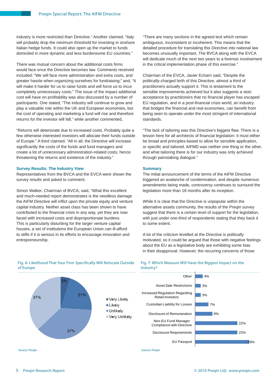industry is more restricted than Directive." Another claimed, "Italy will probably drop the minimum threshold for investing in onshore Italian hedge funds. It could also open up the market to funds domiciled in more dynamic and less burdensome EU countries."

There was mutual concern about the additional costs firms would face once the Directive becomes law. Comments received included: "We will face more administration and extra costs, and greater hassle when organizing ourselves for fundraising;" and, "It will make it harder for us to raise funds and will force us to incur completely unnecessary costs." The issue of the impact additional cost will have on profitability was also discussed by a number of participants. One stated, "The industry will continue to grow and play a valuable role within the UK and European economies, but the cost of operating and marketing a fund will rise and therefore returns for the investor will fall," while another commented,

"Returns will deteriorate due to increased costs. Probably quite a few otherwise interested investors will allocate their funds outside of Europe." A third claimed, "All in all, the Directive will increase significantly the costs of the funds and fund managers and create a lot of unnecessary administration-related costs, hence threatening the returns and existence of the industry."

#### **Survey Results: The Industry View**

Representatives from the BVCA and the EVCA were shown the survey results and asked to comment.

Simon Walker, Chairman of BVCA, said, "What this excellent and much-needed report demonstrates is the needless damage the AIFM Directive will inflict upon the private equity and venture capital industry. Neither asset class has been shown to have contributed to the financial crisis in any way, yet they are now faced with increased costs and disproportionate burdens. This is particularly disturbing for the larger venture capital houses, a set of institutions the European Union can ill-afford to stifle if it is serious in its efforts to encourage innovation and entrepreneurship.

"There are many sections in the agreed text which remain ambiguous, inconsistent or incoherent. This means that the detailed procedure for translating this Directive into national law becomes unusually important. The BVCA along with the EVCA will dedicate much of the next two years to a forensic involvement in the critical implementation phase of this exercise."

Chairman of the EVCA, Javier Echarri said, "Despite the politically-charged birth of this Directive, almost a third of practitioners actually support it. This is testament to the sensible improvements achieved but it also suggests a stoic acceptance by practitioners that no financial player has escaped EU regulation, and in a post-financial crisis world, an industry that bridges the financial and real economies, can benefit from being seen to operate under the most stringent of international standards.

"The lack of tailoring was this Directive's biggest flaw. There is a lesson here for all architects of financial legislation: it must either be broad and principles-based to allow for sensible application, or specific and tailored. AIFMD was neither one thing or the other, and what tailoring there is for our industry was only achieved through painstaking dialogue."

#### **Summary**

The initial announcement of the terms of the AIFM Directive triggered an avalanche of condemnation, and despite numerous amendments being made, controversy continues to surround the legislation more than 18 months after its inception.

While it is clear that the Directive is unpopular within the alternative assets community, the results of the Preqin survey suggest that there is a certain level of support for the legislation, with just under one-third of respondents stating that they back it to some extent.

A lot of the criticism levelled at the Directive is politically motivated, so it could be argued that those with negative feelings about the EU as a legislative body are exhibiting some bias in their disapproval. However, the recurring concerns of those

Fig. 7: Which Measure Will Have the Biggest Impact on the



#### Fig. 6: Likelihood That Your Firm Specifically Will Relocate Outside of Europe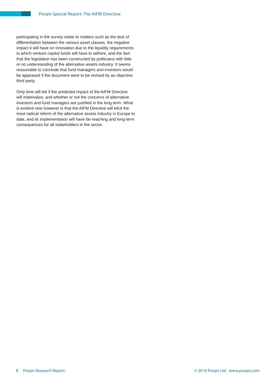participating in the survey relate to matters such as the lack of differentiation between the various asset classes, the negative impact it will have on innovation due to the liquidity requirements to which venture capital funds will have to adhere, and the fact that the legislation has been constructed by politicians with little or no understanding of the alternative assets industry. It seems reasonable to conclude that fund managers and investors would be appeased if the document were to be revised by an objective third party.

Only time will tell if the predicted impact of the AIFM Directive will materialize, and whether or not the concerns of alternative investors and fund managers are justified in the long term. What is evident now however is that the AIFM Directive will elicit the most radical reform of the alternative assets industry in Europe to date, and its implementation will have far-reaching and long-term consequences for all stakeholders in the sector.